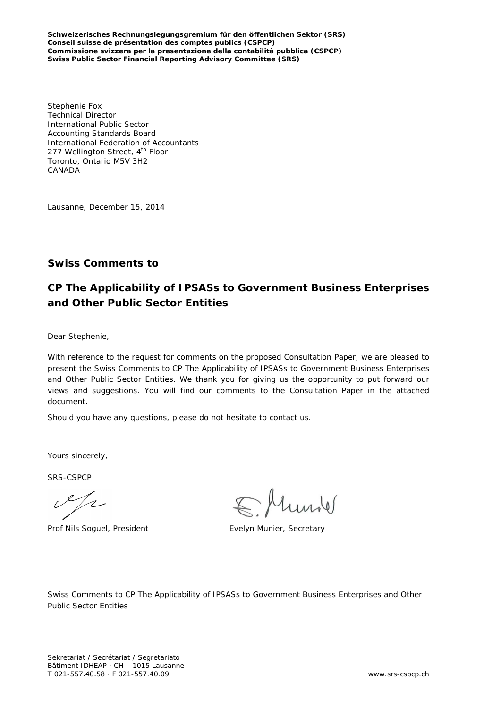Stephenie Fox Technical Director International Public Sector Accounting Standards Board International Federation of Accountants 277 Wellington Street, 4<sup>th</sup> Floor Toronto, Ontario M5V 3H2 CANADA

Lausanne, December 15, 2014

### **Swiss Comments to**

## **CP The Applicability of IPSASs to Government Business Enterprises and Other Public Sector Entities**

Dear Stephenie,

With reference to the request for comments on the proposed Consultation Paper, we are pleased to present the Swiss Comments to CP The Applicability of IPSASs to Government Business Enterprises and Other Public Sector Entities. We thank you for giving us the opportunity to put forward our views and suggestions. You will find our comments to the Consultation Paper in the attached document.

Should you have any questions, please do not hesitate to contact us.

Yours sincerely,

SRS-CSPCP

 $\mathcal{A}_{\mathscr{L}}$ 

Prof Nils Soguel, President Evelyn Munier, Secretary

Swiss Comments to CP The Applicability of IPSASs to Government Business Enterprises and Other Public Sector Entities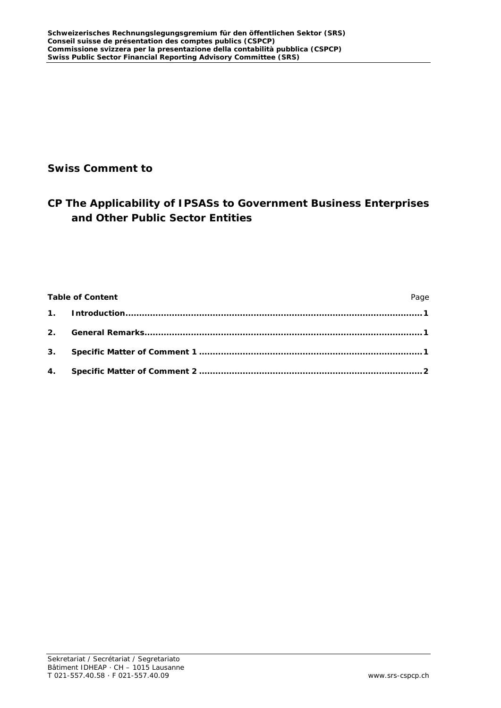## **Swiss Comment to**

# **CP The Applicability of IPSASs to Government Business Enterprises and Other Public Sector Entities**

| <b>Table of Content</b> | Page |
|-------------------------|------|
|                         |      |
|                         |      |
|                         |      |
|                         |      |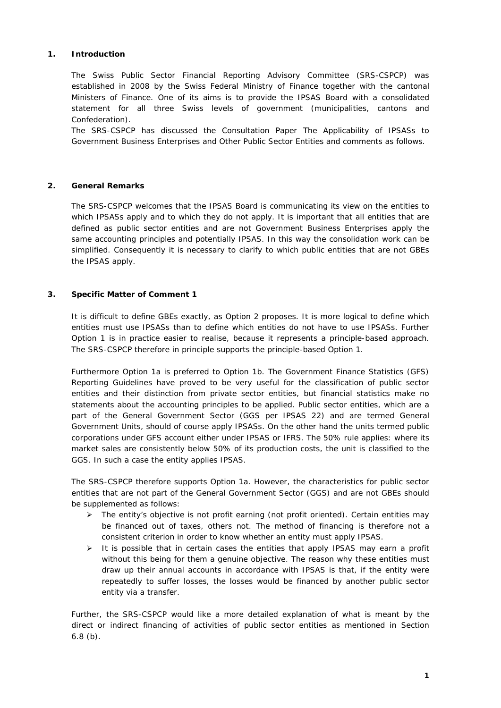#### <span id="page-2-0"></span>**1. Introduction**

The Swiss Public Sector Financial Reporting Advisory Committee (SRS-CSPCP) was established in 2008 by the Swiss Federal Ministry of Finance together with the cantonal Ministers of Finance. One of its aims is to provide the IPSAS Board with a consolidated statement for all three Swiss levels of government (municipalities, cantons and Confederation).

The SRS-CSPCP has discussed the *Consultation Paper The Applicability of IPSASs to Government Business Enterprises and Other Public Sector Entities* and comments as follows.

#### <span id="page-2-1"></span>**2. General Remarks**

The SRS-CSPCP welcomes that the IPSAS Board is communicating its view on the entities to which IPSASs apply and to which they do not apply. It is important that all entities that are defined as public sector entities and are not Government Business Enterprises apply the same accounting principles and potentially IPSAS. In this way the consolidation work can be simplified. Consequently it is necessary to clarify to which public entities that are not GBEs the IPSAS apply.

#### <span id="page-2-2"></span>**3. Specific Matter of Comment 1**

It is difficult to define GBEs exactly, as Option 2 proposes. It is more logical to define which entities must use IPSASs than to define which entities do not have to use IPSASs. Further Option 1 is in practice easier to realise, because it represents a principle-based approach. The SRS-CSPCP therefore in principle supports the principle-based Option 1.

Furthermore Option 1a is preferred to Option 1b. The Government Finance Statistics (GFS) Reporting Guidelines have proved to be very useful for the classification of public sector entities and their distinction from private sector entities, but financial statistics make no statements about the accounting principles to be applied. Public sector entities, which are a part of the General Government Sector (GGS per IPSAS 22) and are termed General Government Units, should of course apply IPSASs. On the other hand the units termed public corporations under GFS account either under IPSAS or IFRS. The 50% rule applies: where its market sales are consistently below 50% of its production costs, the unit is classified to the GGS. In such a case the entity applies IPSAS.

The SRS-CSPCP therefore supports Option 1a. However, the characteristics for public sector entities that are not part of the General Government Sector (GGS) and are not GBEs should be supplemented as follows:

- $\triangleright$  The entity's objective is not profit earning (not profit oriented). Certain entities may be financed out of taxes, others not. The method of financing is therefore not a consistent criterion in order to know whether an entity must apply IPSAS.
- $\triangleright$  It is possible that in certain cases the entities that apply IPSAS may earn a profit without this being for them a genuine objective. The reason why these entities must draw up their annual accounts in accordance with IPSAS is that, if the entity were repeatedly to suffer losses, the losses would be financed by another public sector entity via a transfer.

Further, the SRS-CSPCP would like a more detailed explanation of what is meant by the direct or indirect financing of activities of public sector entities as mentioned in Section 6.8 (b).